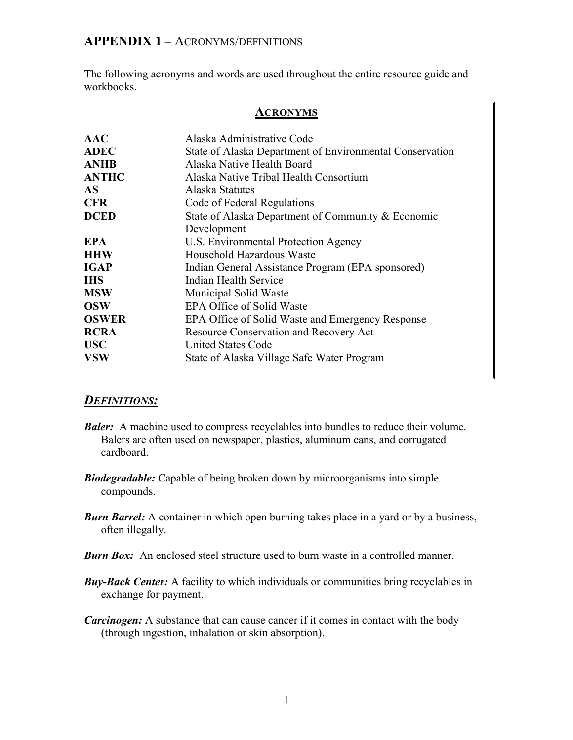The following acronyms and words are used throughout the entire resource guide and workbooks.

| ACRONYMS     |                                                          |
|--------------|----------------------------------------------------------|
| <b>AAC</b>   | Alaska Administrative Code                               |
| <b>ADEC</b>  | State of Alaska Department of Environmental Conservation |
| <b>ANHB</b>  | Alaska Native Health Board                               |
| <b>ANTHC</b> | Alaska Native Tribal Health Consortium                   |
| AS.          | Alaska Statutes                                          |
| <b>CFR</b>   | Code of Federal Regulations                              |
| <b>DCED</b>  | State of Alaska Department of Community & Economic       |
|              | Development                                              |
| <b>EPA</b>   | U.S. Environmental Protection Agency                     |
| <b>HHW</b>   | Household Hazardous Waste                                |
| <b>IGAP</b>  | Indian General Assistance Program (EPA sponsored)        |
| <b>IHS</b>   | Indian Health Service                                    |
| <b>MSW</b>   | Municipal Solid Waste                                    |
| <b>OSW</b>   | <b>EPA Office of Solid Waste</b>                         |
| <b>OSWER</b> | EPA Office of Solid Waste and Emergency Response         |
| <b>RCRA</b>  | <b>Resource Conservation and Recovery Act</b>            |
| <b>USC</b>   | <b>United States Code</b>                                |
| <b>VSW</b>   | State of Alaska Village Safe Water Program               |
|              |                                                          |

## *DEFINITIONS:*

- *Baler:* A machine used to compress recyclables into bundles to reduce their volume. Balers are often used on newspaper, plastics, aluminum cans, and corrugated cardboard.
- *Biodegradable:* Capable of being broken down by microorganisms into simple compounds.
- *Burn Barrel:* A container in which open burning takes place in a yard or by a business, often illegally.
- **Burn Box:** An enclosed steel structure used to burn waste in a controlled manner.
- **Buy-Back Center:** A facility to which individuals or communities bring recyclables in exchange for payment.
- *Carcinogen:* A substance that can cause cancer if it comes in contact with the body (through ingestion, inhalation or skin absorption).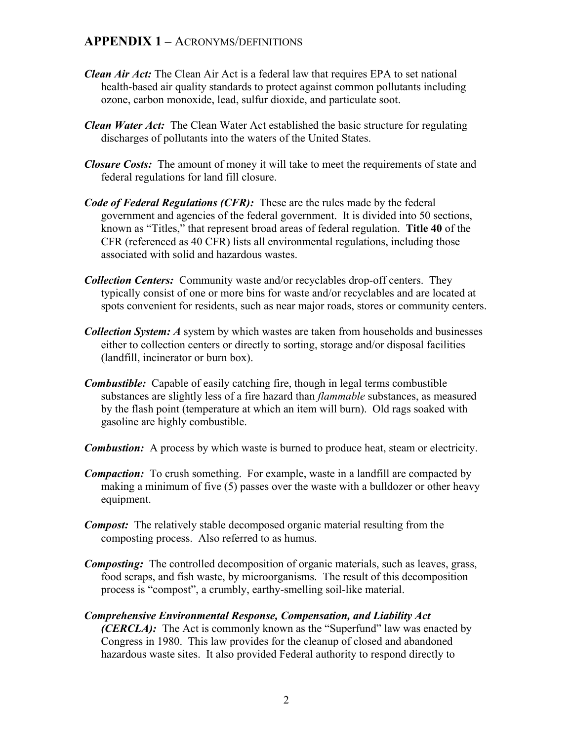- *Clean Air Act:* The Clean Air Act is a federal law that requires EPA to set national health-based air quality standards to protect against common pollutants including ozone, carbon monoxide, lead, sulfur dioxide, and particulate soot.
- *Clean Water Act:* The Clean Water Act established the basic structure for regulating discharges of pollutants into the waters of the United States.
- *Closure Costs:* The amount of money it will take to meet the requirements of state and federal regulations for land fill closure.
- *Code of Federal Regulations (CFR):* These are the rules made by the federal government and agencies of the federal government. It is divided into 50 sections, known as "Titles," that represent broad areas of federal regulation. **Title 40** of the CFR (referenced as 40 CFR) lists all environmental regulations, including those associated with solid and hazardous wastes.
- *Collection Centers:* Community waste and/or recyclables drop-off centers. They typically consist of one or more bins for waste and/or recyclables and are located at spots convenient for residents, such as near major roads, stores or community centers.
- *Collection System: A* system by which wastes are taken from households and businesses either to collection centers or directly to sorting, storage and/or disposal facilities (landfill, incinerator or burn box).
- *Combustible:* Capable of easily catching fire, though in legal terms combustible substances are slightly less of a fire hazard than *flammable* substances, as measured by the flash point (temperature at which an item will burn). Old rags soaked with gasoline are highly combustible.
- *Combustion:* A process by which waste is burned to produce heat, steam or electricity.
- *Compaction:* To crush something. For example, waste in a landfill are compacted by making a minimum of five (5) passes over the waste with a bulldozer or other heavy equipment.
- *Compost:* The relatively stable decomposed organic material resulting from the composting process. Also referred to as humus.
- *Composting:* The controlled decomposition of organic materials, such as leaves, grass, food scraps, and fish waste, by microorganisms. The result of this decomposition process is "compost", a crumbly, earthy-smelling soil-like material.
- *Comprehensive Environmental Response, Compensation, and Liability Act (CERCLA)*: The Act is commonly known as the "Superfund" law was enacted by Congress in 1980. This law provides for the cleanup of closed and abandoned hazardous waste sites. It also provided Federal authority to respond directly to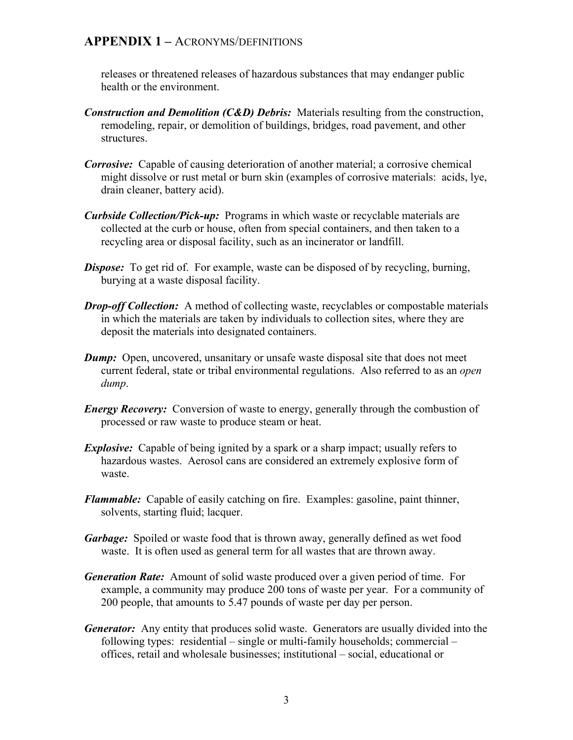releases or threatened releases of hazardous substances that may endanger public health or the environment.

- *Construction and Demolition (C&D) Debris:* Materials resulting from the construction, remodeling, repair, or demolition of buildings, bridges, road pavement, and other structures.
- *Corrosive:* Capable of causing deterioration of another material; a corrosive chemical might dissolve or rust metal or burn skin (examples of corrosive materials: acids, lye, drain cleaner, battery acid).
- *Curbside Collection/Pick-up:* Programs in which waste or recyclable materials are collected at the curb or house, often from special containers, and then taken to a recycling area or disposal facility, such as an incinerator or landfill.
- *Dispose:* To get rid of. For example, waste can be disposed of by recycling, burning, burying at a waste disposal facility.
- *Drop-off Collection:* A method of collecting waste, recyclables or compostable materials in which the materials are taken by individuals to collection sites, where they are deposit the materials into designated containers.
- *Dump:* Open, uncovered, unsanitary or unsafe waste disposal site that does not meet current federal, state or tribal environmental regulations. Also referred to as an *open dump*.
- *Energy Recovery:* Conversion of waste to energy, generally through the combustion of processed or raw waste to produce steam or heat.
- *Explosive:* Capable of being ignited by a spark or a sharp impact; usually refers to hazardous wastes. Aerosol cans are considered an extremely explosive form of waste.
- *Flammable:* Capable of easily catching on fire. Examples: gasoline, paint thinner, solvents, starting fluid; lacquer.
- *Garbage:* Spoiled or waste food that is thrown away, generally defined as wet food waste. It is often used as general term for all wastes that are thrown away.
- *Generation Rate:* Amount of solid waste produced over a given period of time. For example, a community may produce 200 tons of waste per year. For a community of 200 people, that amounts to 5.47 pounds of waste per day per person.
- *Generator:* Any entity that produces solid waste. Generators are usually divided into the following types: residential – single or multi-family households; commercial – offices, retail and wholesale businesses; institutional – social, educational or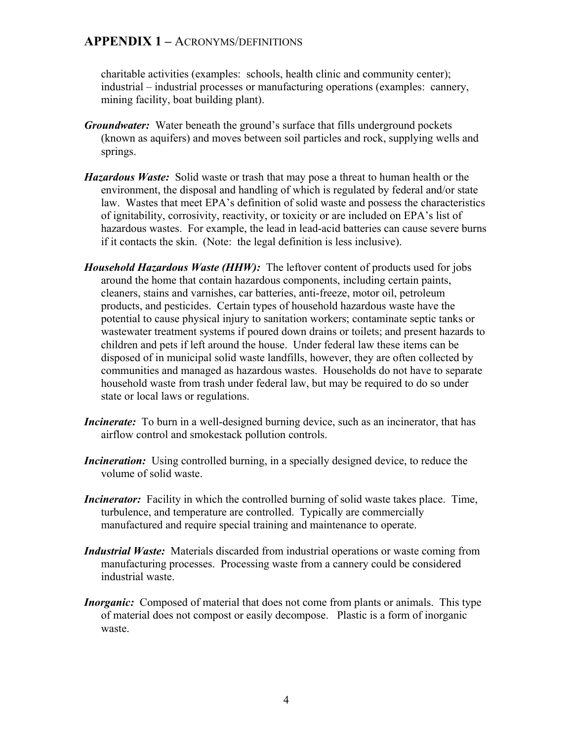charitable activities (examples: schools, health clinic and community center); industrial – industrial processes or manufacturing operations (examples: cannery, mining facility, boat building plant).

- *Groundwater:* Water beneath the ground's surface that fills underground pockets (known as aquifers) and moves between soil particles and rock, supplying wells and springs.
- *Hazardous Waste:* Solid waste or trash that may pose a threat to human health or the environment, the disposal and handling of which is regulated by federal and/or state law. Wastes that meet EPA's definition of solid waste and possess the characteristics of ignitability, corrosivity, reactivity, or toxicity or are included on EPA's list of hazardous wastes. For example, the lead in lead-acid batteries can cause severe burns if it contacts the skin. (Note: the legal definition is less inclusive).
- *Household Hazardous Waste (HHW):* The leftover content of products used for jobs around the home that contain hazardous components, including certain paints, cleaners, stains and varnishes, car batteries, anti-freeze, motor oil, petroleum products, and pesticides. Certain types of household hazardous waste have the potential to cause physical injury to sanitation workers; contaminate septic tanks or wastewater treatment systems if poured down drains or toilets; and present hazards to children and pets if left around the house. Under federal law these items can be disposed of in municipal solid waste landfills, however, they are often collected by communities and managed as hazardous wastes. Households do not have to separate household waste from trash under federal law, but may be required to do so under state or local laws or regulations.
- *Incinerate:* To burn in a well-designed burning device, such as an incinerator, that has airflow control and smokestack pollution controls.
- *Incineration:* Using controlled burning, in a specially designed device, to reduce the volume of solid waste.
- *Incinerator:* Facility in which the controlled burning of solid waste takes place. Time, turbulence, and temperature are controlled. Typically are commercially manufactured and require special training and maintenance to operate.
- *Industrial Waste:* Materials discarded from industrial operations or waste coming from manufacturing processes. Processing waste from a cannery could be considered industrial waste.
- *Inorganic:* Composed of material that does not come from plants or animals. This type of material does not compost or easily decompose. Plastic is a form of inorganic waste.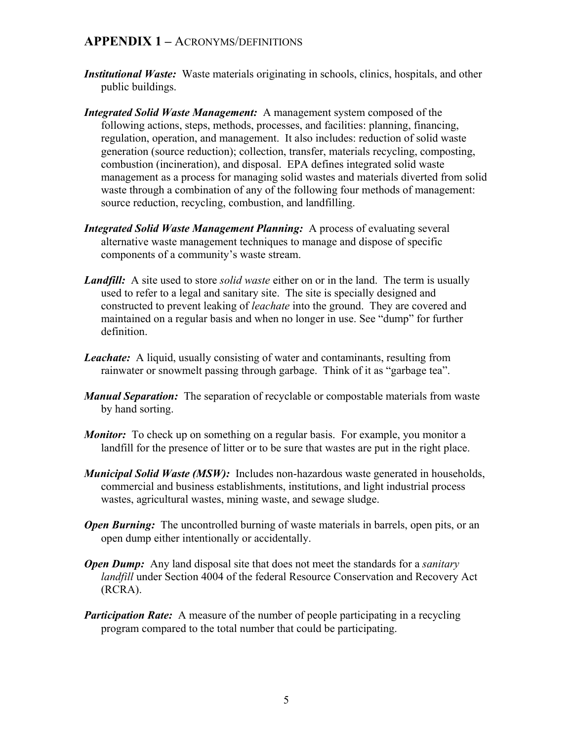- *Institutional Waste:* Waste materials originating in schools, clinics, hospitals, and other public buildings.
- *Integrated Solid Waste Management:* A management system composed of the following actions, steps, methods, processes, and facilities: planning, financing, regulation, operation, and management. It also includes: reduction of solid waste generation (source reduction); collection, transfer, materials recycling, composting, combustion (incineration), and disposal. EPA defines integrated solid waste management as a process for managing solid wastes and materials diverted from solid waste through a combination of any of the following four methods of management: source reduction, recycling, combustion, and landfilling.
- *Integrated Solid Waste Management Planning:* A process of evaluating several alternative waste management techniques to manage and dispose of specific components of a community's waste stream.
- *Landfill:* A site used to store *solid waste* either on or in the land. The term is usually used to refer to a legal and sanitary site. The site is specially designed and constructed to prevent leaking of *leachate* into the ground. They are covered and maintained on a regular basis and when no longer in use. See "dump" for further definition.
- *Leachate:* A liquid, usually consisting of water and contaminants, resulting from rainwater or snowmelt passing through garbage. Think of it as "garbage tea".
- *Manual Separation:* The separation of recyclable or compostable materials from waste by hand sorting.
- *Monitor*: To check up on something on a regular basis. For example, you monitor a landfill for the presence of litter or to be sure that wastes are put in the right place.
- *Municipal Solid Waste (MSW):* Includes non-hazardous waste generated in households, commercial and business establishments, institutions, and light industrial process wastes, agricultural wastes, mining waste, and sewage sludge.
- *Open Burning:* The uncontrolled burning of waste materials in barrels, open pits, or an open dump either intentionally or accidentally.
- *Open Dump:* Any land disposal site that does not meet the standards for a *sanitary landfill* under Section 4004 of the federal Resource Conservation and Recovery Act (RCRA).
- *Participation Rate:* A measure of the number of people participating in a recycling program compared to the total number that could be participating.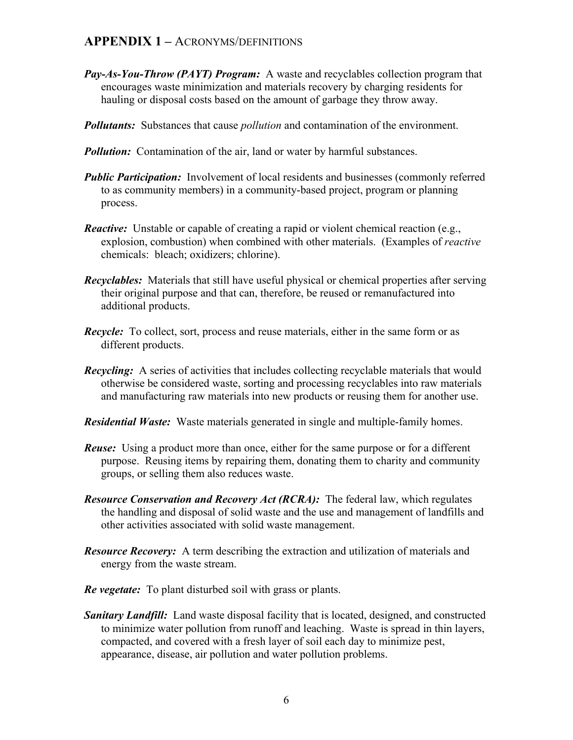- *Pay-As-You-Throw (PAYT) Program:* A waste and recyclables collection program that encourages waste minimization and materials recovery by charging residents for hauling or disposal costs based on the amount of garbage they throw away.
- *Pollutants:* Substances that cause *pollution* and contamination of the environment.
- *Pollution:* Contamination of the air, land or water by harmful substances.
- *Public Participation:* Involvement of local residents and businesses (commonly referred to as community members) in a community-based project, program or planning process.
- *Reactive:* Unstable or capable of creating a rapid or violent chemical reaction (e.g., explosion, combustion) when combined with other materials. (Examples of *reactive* chemicals: bleach; oxidizers; chlorine).
- *Recyclables:* Materials that still have useful physical or chemical properties after serving their original purpose and that can, therefore, be reused or remanufactured into additional products.
- *Recycle:* To collect, sort, process and reuse materials, either in the same form or as different products.
- **Recycling:** A series of activities that includes collecting recyclable materials that would otherwise be considered waste, sorting and processing recyclables into raw materials and manufacturing raw materials into new products or reusing them for another use.
- *Residential Waste:* Waste materials generated in single and multiple-family homes.
- *Reuse:* Using a product more than once, either for the same purpose or for a different purpose. Reusing items by repairing them, donating them to charity and community groups, or selling them also reduces waste.
- *Resource Conservation and Recovery Act (RCRA):* The federal law, which regulates the handling and disposal of solid waste and the use and management of landfills and other activities associated with solid waste management.
- *Resource Recovery:* A term describing the extraction and utilization of materials and energy from the waste stream.
- *Re vegetate:* To plant disturbed soil with grass or plants.
- **Sanitary Landfill:** Land waste disposal facility that is located, designed, and constructed to minimize water pollution from runoff and leaching. Waste is spread in thin layers, compacted, and covered with a fresh layer of soil each day to minimize pest, appearance, disease, air pollution and water pollution problems.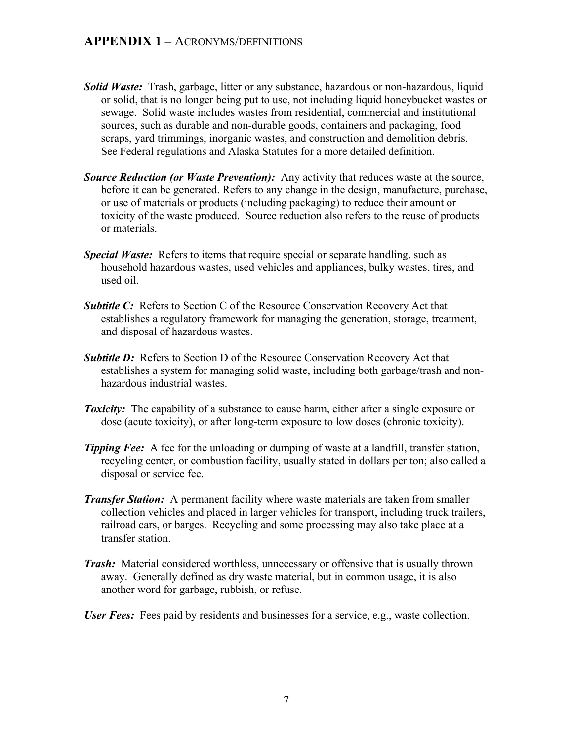- *Solid Waste:* Trash, garbage, litter or any substance, hazardous or non-hazardous, liquid or solid, that is no longer being put to use, not including liquid honeybucket wastes or sewage. Solid waste includes wastes from residential, commercial and institutional sources, such as durable and non-durable goods, containers and packaging, food scraps, yard trimmings, inorganic wastes, and construction and demolition debris. See Federal regulations and Alaska Statutes for a more detailed definition.
- **Source Reduction (or Waste Prevention):** Any activity that reduces waste at the source, before it can be generated. Refers to any change in the design, manufacture, purchase, or use of materials or products (including packaging) to reduce their amount or toxicity of the waste produced. Source reduction also refers to the reuse of products or materials.
- *Special Waste:* Refers to items that require special or separate handling, such as household hazardous wastes, used vehicles and appliances, bulky wastes, tires, and used oil.
- **Subtitle C:** Refers to Section C of the Resource Conservation Recovery Act that establishes a regulatory framework for managing the generation, storage, treatment, and disposal of hazardous wastes.
- **Subtitle D:** Refers to Section D of the Resource Conservation Recovery Act that establishes a system for managing solid waste, including both garbage/trash and nonhazardous industrial wastes.
- **Toxicity:** The capability of a substance to cause harm, either after a single exposure or dose (acute toxicity), or after long-term exposure to low doses (chronic toxicity).
- **Tipping Fee:** A fee for the unloading or dumping of waste at a landfill, transfer station, recycling center, or combustion facility, usually stated in dollars per ton; also called a disposal or service fee.
- *Transfer Station:* A permanent facility where waste materials are taken from smaller collection vehicles and placed in larger vehicles for transport, including truck trailers, railroad cars, or barges. Recycling and some processing may also take place at a transfer station.
- *Trash:* Material considered worthless, unnecessary or offensive that is usually thrown away. Generally defined as dry waste material, but in common usage, it is also another word for garbage, rubbish, or refuse.
- *User Fees:* Fees paid by residents and businesses for a service, e.g., waste collection.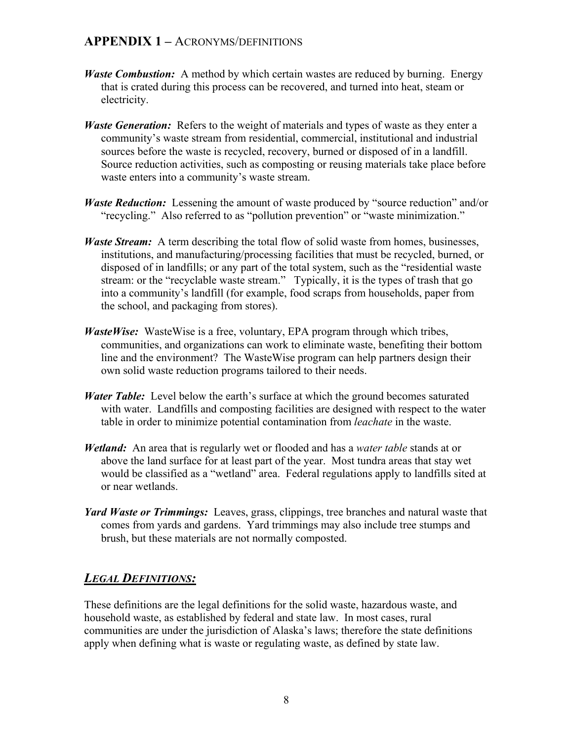- *Waste Combustion:* A method by which certain wastes are reduced by burning. Energy that is crated during this process can be recovered, and turned into heat, steam or electricity.
- *Waste Generation:* Refers to the weight of materials and types of waste as they enter a community's waste stream from residential, commercial, institutional and industrial sources before the waste is recycled, recovery, burned or disposed of in a landfill. Source reduction activities, such as composting or reusing materials take place before waste enters into a community's waste stream.
- *Waste Reduction:* Lessening the amount of waste produced by "source reduction" and/or "recycling." Also referred to as "pollution prevention" or "waste minimization."
- *Waste Stream:* A term describing the total flow of solid waste from homes, businesses, institutions, and manufacturing/processing facilities that must be recycled, burned, or disposed of in landfills; or any part of the total system, such as the "residential waste stream: or the "recyclable waste stream." Typically, it is the types of trash that go into a community's landfill (for example, food scraps from households, paper from the school, and packaging from stores).
- *WasteWise:* WasteWise is a free, voluntary, EPA program through which tribes, communities, and organizations can work to eliminate waste, benefiting their bottom line and the environment? The WasteWise program can help partners design their own solid waste reduction programs tailored to their needs.
- *Water Table:* Level below the earth's surface at which the ground becomes saturated with water. Landfills and composting facilities are designed with respect to the water table in order to minimize potential contamination from *leachate* in the waste.
- *Wetland:* An area that is regularly wet or flooded and has a *water table* stands at or above the land surface for at least part of the year. Most tundra areas that stay wet would be classified as a "wetland" area. Federal regulations apply to landfills sited at or near wetlands.
- *Yard Waste or Trimmings:* Leaves, grass, clippings, tree branches and natural waste that comes from yards and gardens. Yard trimmings may also include tree stumps and brush, but these materials are not normally composted.

# *LEGAL DEFINITIONS:*

These definitions are the legal definitions for the solid waste, hazardous waste, and household waste, as established by federal and state law. In most cases, rural communities are under the jurisdiction of Alaska's laws; therefore the state definitions apply when defining what is waste or regulating waste, as defined by state law.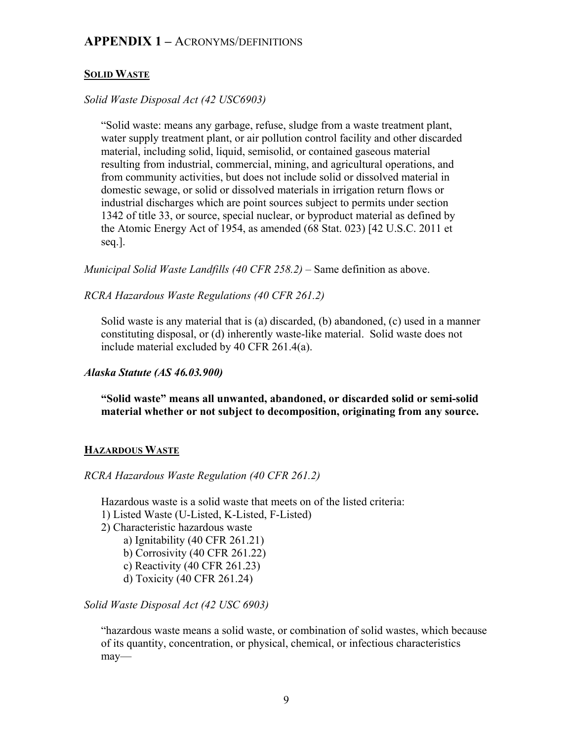## **SOLID WASTE**

## *Solid Waste Disposal Act (42 USC6903)*

"Solid waste: means any garbage, refuse, sludge from a waste treatment plant, water supply treatment plant, or air pollution control facility and other discarded material, including solid, liquid, semisolid, or contained gaseous material resulting from industrial, commercial, mining, and agricultural operations, and from community activities, but does not include solid or dissolved material in domestic sewage, or solid or dissolved materials in irrigation return flows or industrial discharges which are point sources subject to permits under section 1342 of title 33, or source, special nuclear, or byproduct material as defined by the Atomic Energy Act of 1954, as amended (68 Stat. 023) [42 U.S.C. 2011 et seq.].

*Municipal Solid Waste Landfills (40 CFR 258.2)* – Same definition as above.

## *RCRA Hazardous Waste Regulations (40 CFR 261.2)*

Solid waste is any material that is (a) discarded, (b) abandoned, (c) used in a manner constituting disposal, or (d) inherently waste-like material. Solid waste does not include material excluded by 40 CFR 261.4(a).

## *Alaska Statute (AS 46.03.900)*

**"Solid waste" means all unwanted, abandoned, or discarded solid or semi-solid material whether or not subject to decomposition, originating from any source.** 

## **HAZARDOUS WASTE**

## *RCRA Hazardous Waste Regulation (40 CFR 261.2)*

Hazardous waste is a solid waste that meets on of the listed criteria:

- 1) Listed Waste (U-Listed, K-Listed, F-Listed)
- 2) Characteristic hazardous waste
	- a) Ignitability (40 CFR 261.21)
	- b) Corrosivity (40 CFR 261.22)
	- c) Reactivity (40 CFR 261.23)
	- d) Toxicity (40 CFR 261.24)

## *Solid Waste Disposal Act (42 USC 6903)*

"hazardous waste means a solid waste, or combination of solid wastes, which because of its quantity, concentration, or physical, chemical, or infectious characteristics may—